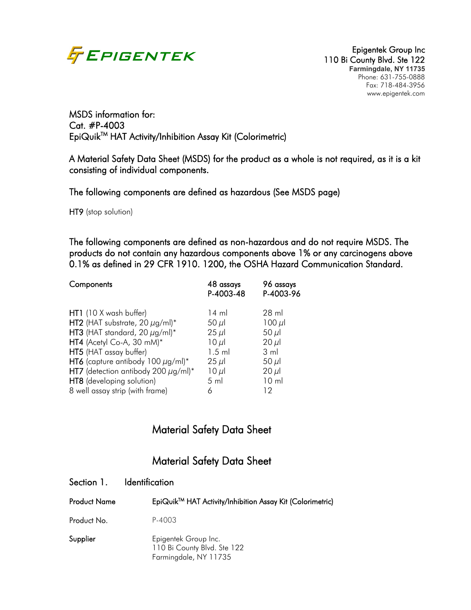

MSDS information for: Cat. #P-4003 EpiQuik<sup>™</sup> HAT Activity/Inhibition Assay Kit (Colorimetric)

A Material Safety Data Sheet (MSDS) for the product as a whole is not required, as it is a kit consisting of individual components.

The following components are defined as hazardous (See MSDS page)

HT9 (stop solution)

The following components are defined as non-hazardous and do not require MSDS. The products do not contain any hazardous components above 1% or any carcinogens above 0.1% as defined in 29 CFR 1910. 1200, the OSHA Hazard Communication Standard.

| Components                               | 48 assays<br>P-4003-48 | 96 assays<br>P-4003-96 |
|------------------------------------------|------------------------|------------------------|
| HT1 (10 X wash buffer)                   | $14 \text{ ml}$        | 28 ml                  |
| HT2 (HAT substrate, 20 $\mu$ g/ml)*      | 50 $\mu$ l             | $100 \mu$              |
| HT3 (HAT standard, 20 $\mu$ g/ml)*       | $25 \mu$               | $50 \mu$               |
| HT4 (Acetyl Co-A, 30 mM)*                | $10 \mu$               | $20 \mu$               |
| HT5 (HAT assay buffer)                   | $1.5$ ml               | $3 \text{ ml}$         |
| HT6 (capture antibody 100 $\mu$ g/ml)*   | $25 \mu$               | 50 $\mu$ l             |
| HT7 (detection antibody 200 $\mu$ g/ml)* | $10 \mu$               | $20 \mu$               |
| HT8 (developing solution)                | $5 \mathrm{ml}$        | $10 \mathrm{m}$        |
| 8 well assay strip (with frame)          | 6                      | 12                     |

# Material Safety Data Sheet

# Material Safety Data Sheet

| <b>Product Name</b> | EpiQuik™ HAT Activity/Inhibition Assay Kit (Colorimetric)                    |
|---------------------|------------------------------------------------------------------------------|
| Product No.         | P-4003                                                                       |
| Supplier            | Epigentek Group Inc.<br>110 Bi County Blvd. Ste 122<br>Farmingdale, NY 11735 |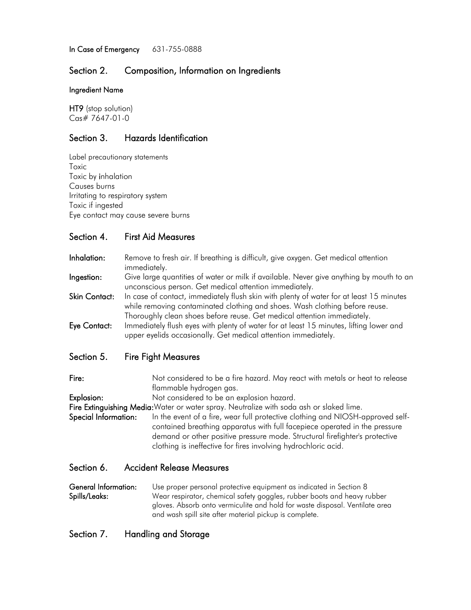In Case of Emergency 631-755-0888

#### Section 2. Composition, Information on Ingredients

#### Ingredient Name

HT9 (stop solution) Cas# 7647-01-0

## Section 3. Hazards Identification

Label precautionary statements Toxic Toxic by inhalation Causes burns Irritating to respiratory system Toxic if ingested Eye contact may cause severe burns

## Section 4. First Aid Measures

| Inhalation:   | Remove to fresh air. If breathing is difficult, give oxygen. Get medical attention<br>immediately.                                                                                                                                                |
|---------------|---------------------------------------------------------------------------------------------------------------------------------------------------------------------------------------------------------------------------------------------------|
| Ingestion:    | Give large quantities of water or milk if available. Never give anything by mouth to an<br>unconscious person. Get medical attention immediately.                                                                                                 |
| Skin Contact: | In case of contact, immediately flush skin with plenty of water for at least 15 minutes<br>while removing contaminated clothing and shoes. Wash clothing before reuse.<br>Thoroughly clean shoes before reuse. Get medical attention immediately. |
| Eye Contact:  | Immediately flush eyes with plenty of water for at least 15 minutes, lifting lower and<br>upper eyelids occasionally. Get medical attention immediately.                                                                                          |
| Section 5.    | <b>Fire Fight Measures</b>                                                                                                                                                                                                                        |

Section 5. Fire Fight Measures

Fire: Not considered to be a fire hazard. May react with metals or heat to release flammable hydrogen gas.

Explosion: Not considered to be an explosion hazard.

Fire Extinguishing Media: Water or water spray. Neutralize with soda ash or slaked lime.

Special Information: In the event of a fire, wear full protective clothing and NIOSH-approved selfcontained breathing apparatus with full facepiece operated in the pressure demand or other positive pressure mode. Structural firefighter's protective clothing is ineffective for fires involving hydrochloric acid.

#### Section 6. Accident Release Measures

General Information: Use proper personal protective equipment as indicated in Section 8 Spills/Leaks: Wear respirator, chemical safety goggles, rubber boots and heavy rubber gloves. Absorb onto vermiculite and hold for waste disposal. Ventilate area and wash spill site after material pickup is complete.

## Section 7. Handling and Storage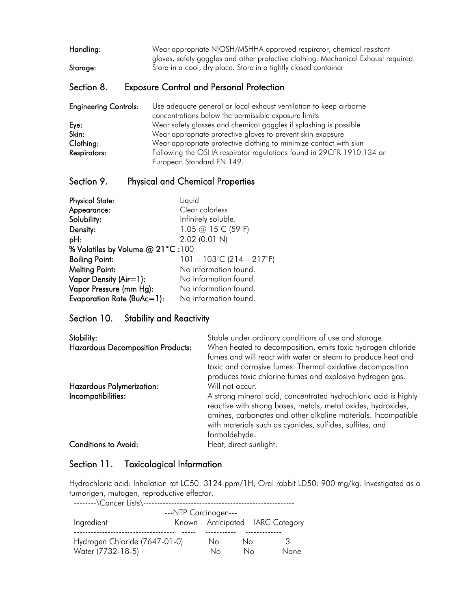| Handling: | Wear appropriate NIOSH/MSHHA approved respirator, chemical resistant                                                                                  |
|-----------|-------------------------------------------------------------------------------------------------------------------------------------------------------|
|           | gloves, safety goggles and other protective clothing. Mechanical Exhaust required.<br>Store in a cool, dry place. Store in a tightly closed container |
| Storage:  |                                                                                                                                                       |

# Section 8. Exposure Control and Personal Protection

| <b>Engineering Controls:</b> | Use adequate general or local exhaust ventilation to keep airborne   |
|------------------------------|----------------------------------------------------------------------|
|                              | concentrations below the permissible exposure limits                 |
| Eye:                         | Wear safety glasses and chemical goggles if splashing is possible    |
| Skin:                        | Wear appropriate protective gloves to prevent skin exposure          |
| Clothing:                    | Wear appropriate protective clothing to minimize contact with skin   |
| <b>Respirators:</b>          | Following the OSHA respirator regulations found in 29CFR 1910.134 or |
|                              | European Standard EN 149.                                            |

## Section 9. Physical and Chemical Properties

| <b>Physical State:</b>           | Liquid                                         |  |  |  |
|----------------------------------|------------------------------------------------|--|--|--|
| Appearance:                      | Clear colorless                                |  |  |  |
| Solubility:                      | Infinitely soluble.                            |  |  |  |
| Density:                         | 1.05 @ 15°C (59°F)                             |  |  |  |
| pH:                              | $2.02$ (0.01 N)                                |  |  |  |
| % Volatiles by Volume @ 21°C:100 |                                                |  |  |  |
| <b>Boiling Point:</b>            | $101 - 103^{\circ}$ C (214 – 217 $^{\circ}$ F) |  |  |  |
| <b>Melting Point:</b>            | No information found.                          |  |  |  |
| Vapor Density (Air=1):           | No information found.                          |  |  |  |
| Vapor Pressure (mm Hg):          | No information found.                          |  |  |  |
| Evaporation Rate (BuAc=1):       | No information found.                          |  |  |  |

#### Section 10. Stability and Reactivity

| Stability:<br><b>Hazardous Decomposition Products:</b><br>Hazardous Polymerization: | Stable under ordinary conditions of use and storage.<br>When heated to decomposition, emits toxic hydrogen chloride<br>fumes and will react with water or steam to produce heat and<br>toxic and corrosive fumes. Thermal oxidative decomposition<br>produces toxic chlorine fumes and explosive hydrogen gas.<br>Will not occur. |  |  |  |
|-------------------------------------------------------------------------------------|-----------------------------------------------------------------------------------------------------------------------------------------------------------------------------------------------------------------------------------------------------------------------------------------------------------------------------------|--|--|--|
|                                                                                     |                                                                                                                                                                                                                                                                                                                                   |  |  |  |
| Incompatibilities:                                                                  | A strong mineral acid, concentrated hydrochloric acid is highly<br>reactive with strong bases, metals, metal oxides, hydroxides,<br>amines, carbonates and other alkaline materials. Incompatible<br>with materials such as cyanides, sulfides, sulfites, and<br>formaldehyde.                                                    |  |  |  |
| <b>Conditions to Avoid:</b>                                                         | Heat, direct sunlight.                                                                                                                                                                                                                                                                                                            |  |  |  |

## Section 11. Toxicological Information

Hydrochloric acid: Inhalation rat LC50: 3124 ppm/1H; Oral rabbit LD50: 900 mg/kg. Investigated as a tumorigen, mutagen, reproductive effector.

| ---NTP Carcinogen---          |  |    |    |  |                                 |
|-------------------------------|--|----|----|--|---------------------------------|
| Ingredient                    |  |    |    |  | Known Anticipated IARC Category |
|                               |  |    |    |  |                                 |
| Hydrogen Chloride (7647-01-0) |  | No | Nο |  | 3                               |
| Water (7732-18-5)             |  | Nο | Nο |  | None                            |